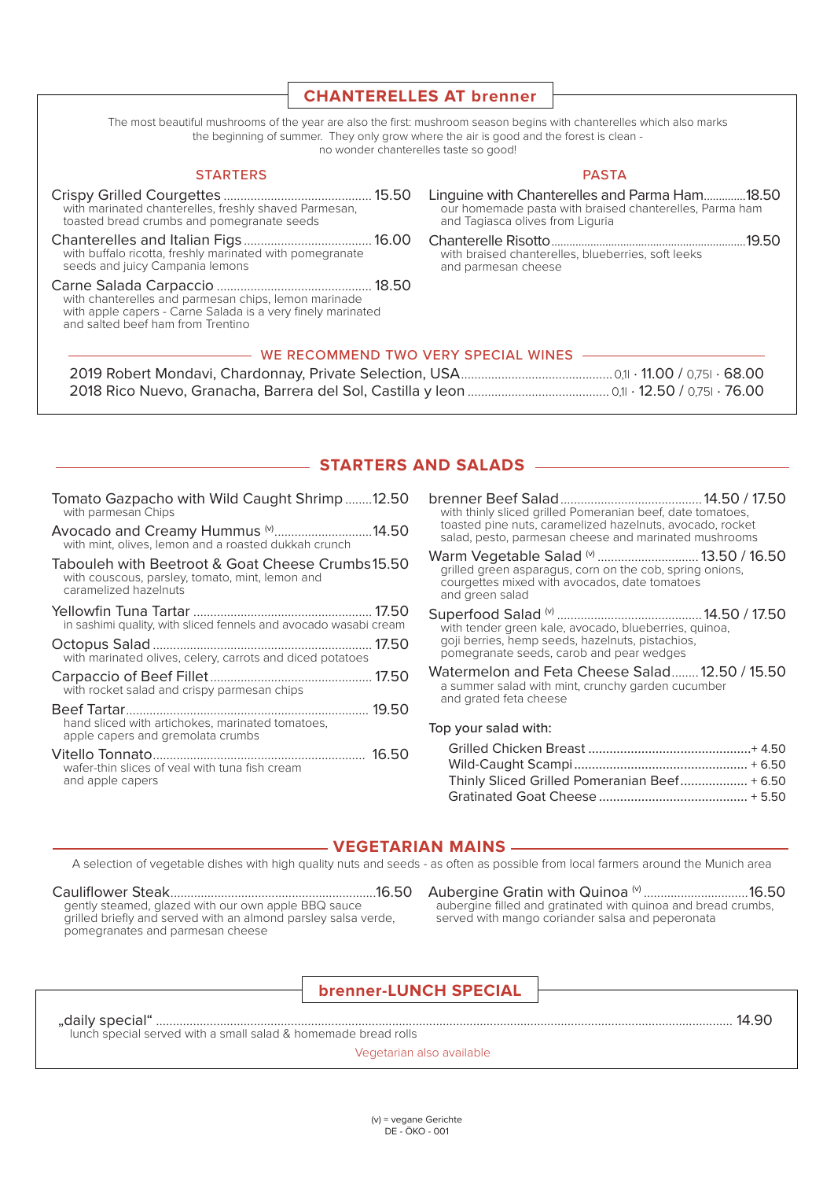|                                                                                                                                                                                                                                                            | <b>CHANTERELLES AT brenner</b>                                                                                                               |  |  |
|------------------------------------------------------------------------------------------------------------------------------------------------------------------------------------------------------------------------------------------------------------|----------------------------------------------------------------------------------------------------------------------------------------------|--|--|
|                                                                                                                                                                                                                                                            |                                                                                                                                              |  |  |
| The most beautiful mushrooms of the year are also the first: mushroom season begins with chanterelles which also marks<br>the beginning of summer. They only grow where the air is good and the forest is clean -<br>no wonder chanterelles taste so good! |                                                                                                                                              |  |  |
| <b>STARTERS</b>                                                                                                                                                                                                                                            | <b>PASTA</b>                                                                                                                                 |  |  |
| with marinated chanterelles, freshly shaved Parmesan,<br>toasted bread crumbs and pomegranate seeds                                                                                                                                                        | Linguine with Chanterelles and Parma Ham18.50<br>our homemade pasta with braised chanterelles, Parma ham<br>and Tagiasca olives from Liguria |  |  |
| with buffalo ricotta, freshly marinated with pomegranate<br>seeds and juicy Campania lemons                                                                                                                                                                | with braised chanterelles, blueberries, soft leeks<br>and parmesan cheese                                                                    |  |  |
| with chanterelles and parmesan chips, lemon marinade<br>with apple capers - Carne Salada is a very finely marinated<br>and salted beef ham from Trentino                                                                                                   |                                                                                                                                              |  |  |
| WE RECOMMEND TWO VERY SPECIAL WINES                                                                                                                                                                                                                        |                                                                                                                                              |  |  |

# **STARTERS AND SALADS -**

| Avocado and Creamy Hummus (V14.50<br>with mint, olives, lemon and a roasted dukkah crunch<br>Tabouleh with Beetroot & Goat Cheese Crumbs15.50<br>with couscous, parsley, tomato, mint, lemon and<br>caramelized hazelnuts<br>in sashimi quality, with sliced fennels and avocado wasabi cream<br>with marinated olives, celery, carrots and diced potatoes<br>with rocket salad and crispy parmesan chips<br>hand sliced with artichokes, marinated tomatoes,<br>apple capers and gremolata crumbs<br>wafer-thin slices of yeal with tuna fish cream<br>and apple capers | Tomato Gazpacho with Wild Caught Shrimp12.50<br>with parmesan Chips |  |
|--------------------------------------------------------------------------------------------------------------------------------------------------------------------------------------------------------------------------------------------------------------------------------------------------------------------------------------------------------------------------------------------------------------------------------------------------------------------------------------------------------------------------------------------------------------------------|---------------------------------------------------------------------|--|
|                                                                                                                                                                                                                                                                                                                                                                                                                                                                                                                                                                          |                                                                     |  |
|                                                                                                                                                                                                                                                                                                                                                                                                                                                                                                                                                                          |                                                                     |  |
|                                                                                                                                                                                                                                                                                                                                                                                                                                                                                                                                                                          |                                                                     |  |
|                                                                                                                                                                                                                                                                                                                                                                                                                                                                                                                                                                          |                                                                     |  |
|                                                                                                                                                                                                                                                                                                                                                                                                                                                                                                                                                                          |                                                                     |  |
|                                                                                                                                                                                                                                                                                                                                                                                                                                                                                                                                                                          |                                                                     |  |
|                                                                                                                                                                                                                                                                                                                                                                                                                                                                                                                                                                          |                                                                     |  |

| with thinly sliced grilled Pomeranian beef, date tomatoes, |  |
|------------------------------------------------------------|--|
| toasted pine nuts, caramelized hazelnuts, avocado, rocket  |  |
| salad, pesto, parmesan cheese and marinated mushrooms      |  |

| grilled green asparagus, corn on the cob, spring onions, |  |
|----------------------------------------------------------|--|
| courgettes mixed with avocados, date tomatoes            |  |
| and green salad                                          |  |

- goji berries, hemp seeds, hazelnuts, pistachios, pomegranate seeds, carob and pear wedges
- Watermelon and Feta Cheese Salad........ 12.50 / 15.50 a summer salad with mint, crunchy garden cucumber and grated feta cheese

#### Top your salad with:

| Thinly Sliced Grilled Pomeranian Beef + 6.50 |  |
|----------------------------------------------|--|
|                                              |  |

#### - VEGETARIAN MAINS -

A selection of vegetable dishes with high quality nuts and seeds - as often as possible from local farmers around the Munich area

going electrical, grazed that can eliminopho BB a cause pomegranates and parmesan cheese

Aubergine Gratin with Quinoa<sup>(v)</sup> ...................................16.50<br>aubergine filled and gratinated with quinoa and bread crumbs, served with mango coriander salsa and peperonata

### **brenner-LUNCH SPECIAL**

lunch special served with a small salad & homemade bread rolls

Vegetarian also available